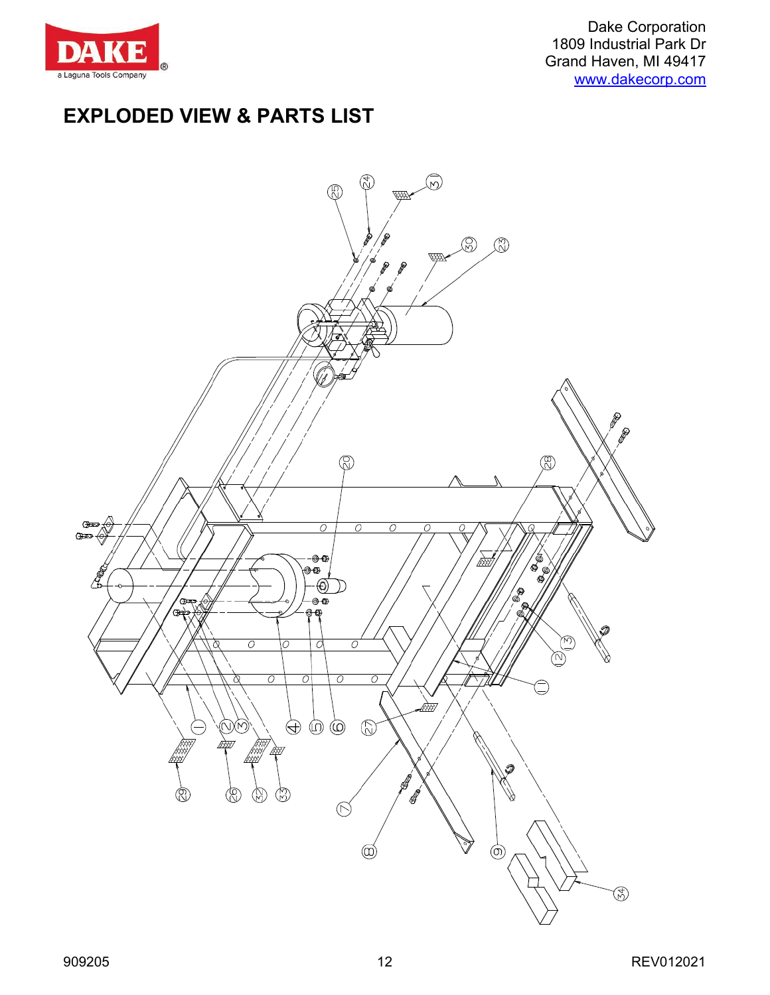

Dake Corporation 1809 Industrial Park Dr Grand Haven, MI 49417 [www.dakecorp.com](http://www.dakecorp.com/)

## **EXPLODED VIEW & PARTS LIST**

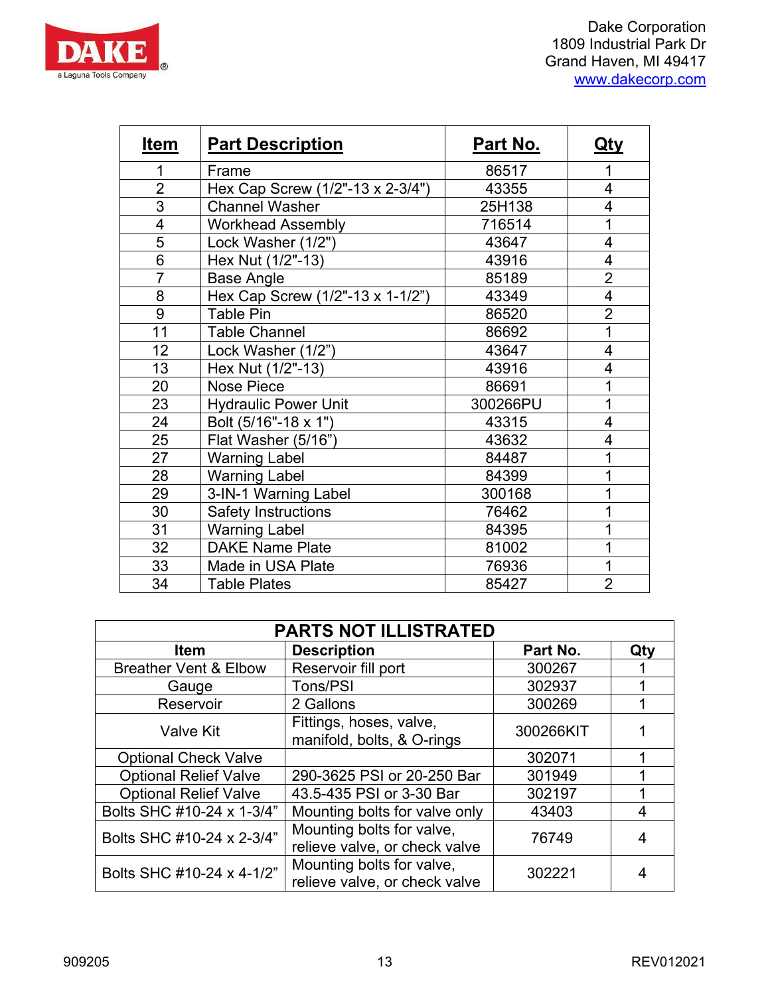

| <b>Item</b>    | <b>Part Description</b>          | Part No. | <u>Qty</u>     |
|----------------|----------------------------------|----------|----------------|
| 1              | Frame                            | 86517    | 1              |
| $\overline{2}$ | Hex Cap Screw (1/2"-13 x 2-3/4") | 43355    | 4              |
| 3              | <b>Channel Washer</b>            | 25H138   | $\overline{4}$ |
| 4              | <b>Workhead Assembly</b>         | 716514   | 1              |
| $\overline{5}$ | Lock Washer (1/2")               | 43647    | $\overline{4}$ |
| 6              | Hex Nut (1/2"-13)                | 43916    | $\overline{4}$ |
| $\overline{7}$ | <b>Base Angle</b>                | 85189    | $\overline{2}$ |
| 8              | Hex Cap Screw (1/2"-13 x 1-1/2") | 43349    | $\overline{4}$ |
| 9              | <b>Table Pin</b>                 | 86520    | $\overline{2}$ |
| 11             | <b>Table Channel</b>             | 86692    | 1              |
| 12             | Lock Washer (1/2")               | 43647    | 4              |
| 13             | Hex Nut (1/2"-13)                | 43916    | 4              |
| 20             | <b>Nose Piece</b>                | 86691    | 1              |
| 23             | <b>Hydraulic Power Unit</b>      | 300266PU | 1              |
| 24             | Bolt (5/16"-18 x 1")             | 43315    | 4              |
| 25             | Flat Washer (5/16")              | 43632    | $\overline{4}$ |
| 27             | <b>Warning Label</b>             | 84487    | $\mathbf{1}$   |
| 28             | <b>Warning Label</b>             | 84399    | 1              |
| 29             | 3-IN-1 Warning Label             | 300168   | 1              |
| 30             | <b>Safety Instructions</b>       | 76462    | 1              |
| 31             | <b>Warning Label</b>             | 84395    | 1              |
| 32             | <b>DAKE Name Plate</b>           | 81002    |                |
| 33             | Made in USA Plate                | 76936    | 1              |
| 34             | <b>Table Plates</b>              | 85427    | $\overline{2}$ |

| <b>PARTS NOT ILLISTRATED</b>     |                                                            |           |     |  |  |  |
|----------------------------------|------------------------------------------------------------|-----------|-----|--|--|--|
| <b>Item</b>                      | <b>Description</b>                                         | Part No.  | Qty |  |  |  |
| <b>Breather Vent &amp; Elbow</b> | Reservoir fill port                                        | 300267    |     |  |  |  |
| Gauge                            | Tons/PSI                                                   | 302937    |     |  |  |  |
| Reservoir                        | 2 Gallons                                                  | 300269    |     |  |  |  |
| <b>Valve Kit</b>                 | Fittings, hoses, valve,<br>manifold, bolts, & O-rings      | 300266KIT |     |  |  |  |
| <b>Optional Check Valve</b>      |                                                            | 302071    |     |  |  |  |
| <b>Optional Relief Valve</b>     | 290-3625 PSI or 20-250 Bar                                 | 301949    |     |  |  |  |
| <b>Optional Relief Valve</b>     | 43.5-435 PSI or 3-30 Bar                                   | 302197    |     |  |  |  |
| Bolts SHC #10-24 x 1-3/4"        | Mounting bolts for valve only                              | 43403     | 4   |  |  |  |
| Bolts SHC #10-24 x 2-3/4"        | Mounting bolts for valve,<br>relieve valve, or check valve | 76749     | 4   |  |  |  |
| Bolts SHC #10-24 x 4-1/2"        | Mounting bolts for valve,<br>relieve valve, or check valve | 302221    |     |  |  |  |